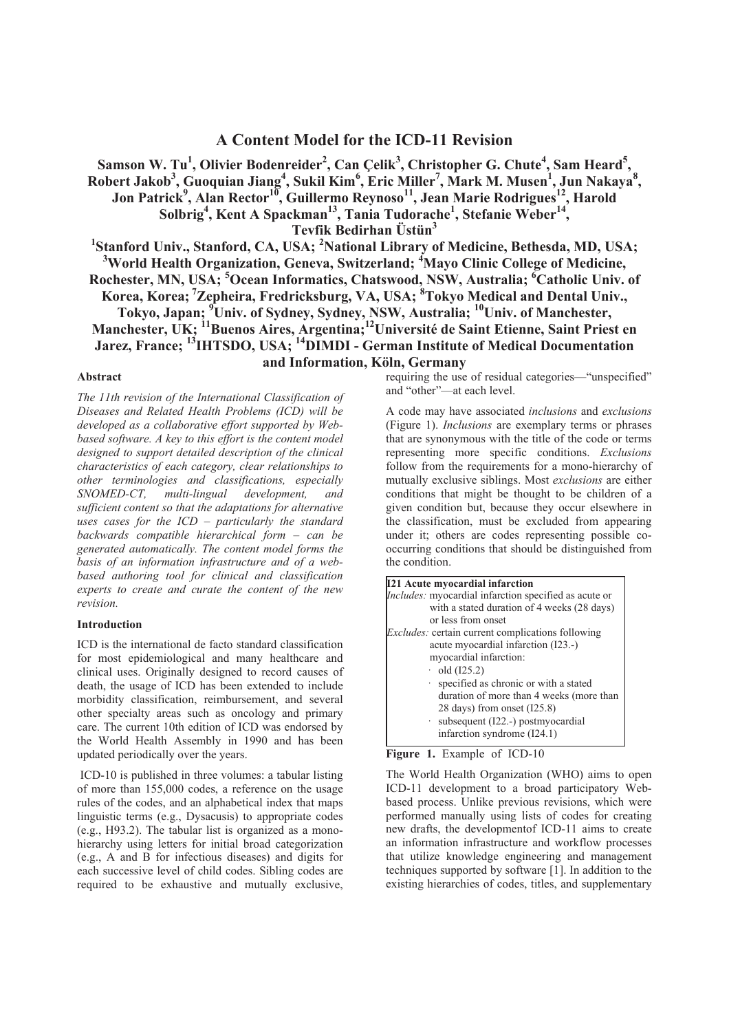# **A Content Model for the ICD-11 Revision**

**Samson W. Tu<sup>1</sup> , Olivier Bodenreider<sup>2</sup> , Can Çelik<sup>3</sup> , Christopher G. Chute<sup>4</sup> , Sam Heard<sup>5</sup> , Robert Jakob<sup>3</sup> , Guoquian Jiang<sup>4</sup> , Sukil Kim<sup>6</sup> , Eric Miller<sup>7</sup> , Mark M. Musen<sup>1</sup> , Jun Nakaya<sup>8</sup> , Jon Patrick<sup>9</sup> , Alan Rector<sup>10</sup>, Guillermo Reynoso<sup>11</sup>, Jean Marie Rodrigues<sup>12</sup>, Harold Solbrig<sup>4</sup> , Kent A Spackman<sup>13</sup>, Tania Tudorache<sup>1</sup> , Stefanie Weber<sup>14</sup> ,**

**Tevfik Bedirhan Üstün<sup>3</sup>**

**1 Stanford Univ., Stanford, CA, USA; <sup>2</sup>National Library of Medicine, Bethesda, MD, USA; <sup>3</sup>World Health Organization, Geneva, Switzerland; <sup>4</sup>Mayo Clinic College of Medicine, Rochester, MN, USA; <sup>5</sup>Ocean Informatics, Chatswood, NSW, Australia; <sup>6</sup>Catholic Univ. of Korea, Korea;<sup>7</sup>Zepheira, Fredricksburg, VA, USA; <sup>8</sup>Tokyo Medical and Dental Univ., Tokyo, Japan; <sup>9</sup>Univ. of Sydney, Sydney, NSW, Australia; <sup>10</sup>Univ. of Manchester, Manchester, UK; <sup>11</sup>Buenos Aires, Argentina;<sup>12</sup>Université de Saint Etienne, Saint Priest en Jarez, France; <sup>13</sup>IHTSDO, USA; <sup>14</sup>DIMDI - German Institute of Medical Documentation and Information, Köln, Germany** 

#### **Abstract**

*The 11th revision of the International Classification of Diseases and Related Health Problems (ICD) will be developed as a collaborative effort supported by Webbased software. A key to this effort is the content model designed to support detailed description of the clinical characteristics of each category, clear relationships to other terminologies and classifications, especially SNOMED-CT, multi-lingual development, and sufficient content so that the adaptations for alternative uses cases for the ICD – particularly the standard backwards compatible hierarchical form – can be generated automatically. The content model forms the basis of an information infrastructure and of a webbased authoring tool for clinical and classification experts to create and curate the content of the new revision.*

#### **Introduction**

ICD is the international de facto standard classification for most epidemiological and many healthcare and clinical uses. Originally designed to record causes of death, the usage of ICD has been extended to include morbidity classification, reimbursement, and several other specialty areas such as oncology and primary care. The current 10th edition of ICD was endorsed by the World Health Assembly in 1990 and has been updated periodically over the years.

 ICD-10 is published in three volumes: a tabular listing of more than 155,000 codes, a reference on the usage rules of the codes, and an alphabetical index that maps linguistic terms (e.g., Dysacusis) to appropriate codes (e.g., H93.2). The tabular list is organized as a monohierarchy using letters for initial broad categorization (e.g., A and B for infectious diseases) and digits for each successive level of child codes. Sibling codes are required to be exhaustive and mutually exclusive, requiring the use of residual categories—"unspecified" and "other"—at each level.

A code may have associated *inclusions* and *exclusions* (Figure 1). *Inclusions* are exemplary terms or phrases that are synonymous with the title of the code or terms representing more specific conditions. *Exclusions* follow from the requirements for a mono-hierarchy of mutually exclusive siblings. Most *exclusions* are either conditions that might be thought to be children of a given condition but, because they occur elsewhere in the classification, must be excluded from appearing under it; others are codes representing possible cooccurring conditions that should be distinguished from the condition.

| <b>I21 Acute myocardial infarction</b>                   |  |
|----------------------------------------------------------|--|
| Includes: myocardial infarction specified as acute or    |  |
| with a stated duration of 4 weeks (28 days)              |  |
| or less from onset                                       |  |
| <i>Excludes:</i> certain current complications following |  |
| acute myocardial infarction (I23.-)                      |  |
| myocardial infarction:                                   |  |
| $\cdot$ old (I25.2)                                      |  |
| specified as chronic or with a stated                    |  |
| duration of more than 4 weeks (more than                 |  |
| 28 days) from onset (I25.8)                              |  |
| $\cdot$ subsequent (I22.-) postmy ocardial               |  |
| infarction syndrome (I24.1)                              |  |

Figure 1. Example of ICD-10

The World Health Organization (WHO) aims to open ICD-11 development to a broad participatory Webbased process. Unlike previous revisions, which were performed manually using lists of codes for creating new drafts, the developmentof ICD-11 aims to create an information infrastructure and workflow processes that utilize knowledge engineering and management techniques supported by software [1]. In addition to the existing hierarchies of codes, titles, and supplementary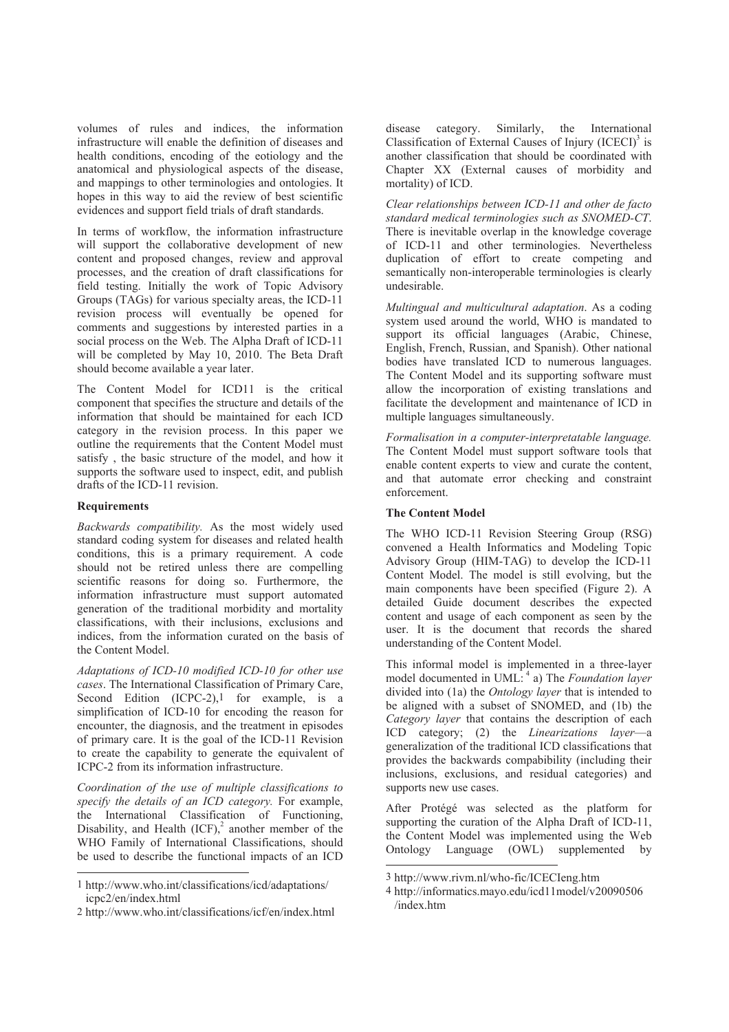volumes of rules and indices, the information infrastructure will enable the definition of diseases and health conditions, encoding of the eotiology and the anatomical and physiological aspects of the disease, and mappings to other terminologies and ontologies. It hopes in this way to aid the review of best scientific evidences and support field trials of draft standards.

In terms of workflow, the information infrastructure will support the collaborative development of new content and proposed changes, review and approval processes, and the creation of draft classifications for field testing. Initially the work of Topic Advisory Groups (TAGs) for various specialty areas, the ICD-11 revision process will eventually be opened for comments and suggestions by interested parties in a social process on the Web. The Alpha Draft of ICD-11 will be completed by May 10, 2010. The Beta Draft should become available a year later.

The Content Model for ICD11 is the critical component that specifies the structure and details of the information that should be maintained for each ICD category in the revision process. In this paper we outline the requirements that the Content Model must satisfy , the basic structure of the model, and how it supports the software used to inspect, edit, and publish drafts of the ICD-11 revision.

### **Requirements**

 $\overline{a}$ 

*Backwards compatibility.* As the most widely used standard coding system for diseases and related health conditions, this is a primary requirement. A code should not be retired unless there are compelling scientific reasons for doing so. Furthermore, the information infrastructure must support automated generation of the traditional morbidity and mortality classifications, with their inclusions, exclusions and indices, from the information curated on the basis of the Content Model.

*Adaptations of ICD-10 modified ICD-10 for other use cases*. The International Classification of Primary Care, Second Edition  $(ICPC-2)$ , for example, is a simplification of ICD-10 for encoding the reason for encounter, the diagnosis, and the treatment in episodes of primary care. It is the goal of the ICD-11 Revision to create the capability to generate the equivalent of ICPC-2 from its information infrastructure.

*Coordination of the use of multiple classifications to specify the details of an ICD category.* For example, the International Classification of Functioning, Disability, and Health  ${(ICF)}$ , another member of the WHO Family of International Classifications, should be used to describe the functional impacts of an ICD

disease category. Similarly, the International Classification of External Causes of Injury  ${[ICECI]}^3$  is another classification that should be coordinated with Chapter XX (External causes of morbidity and mortality) of ICD.

*Clear relationships between ICD-11 and other de facto standard medical terminologies such as SNOMED-CT*. There is inevitable overlap in the knowledge coverage of ICD-11 and other terminologies. Nevertheless duplication of effort to create competing and semantically non-interoperable terminologies is clearly undesirable.

*Multingual and multicultural adaptation*. As a coding system used around the world, WHO is mandated to support its official languages (Arabic, Chinese, English, French, Russian, and Spanish). Other national bodies have translated ICD to numerous languages. The Content Model and its supporting software must allow the incorporation of existing translations and facilitate the development and maintenance of ICD in multiple languages simultaneously.

*Formalisation in a computer-interpretatable language.*  The Content Model must support software tools that enable content experts to view and curate the content and that automate error checking and constraint enforcement.

### **The Content Model**

The WHO ICD-11 Revision Steering Group (RSG) convened a Health Informatics and Modeling Topic Advisory Group (HIM-TAG) to develop the ICD-11 Content Model. The model is still evolving, but the main components have been specified (Figure 2). A detailed Guide document describes the expected content and usage of each component as seen by the user. It is the document that records the shared understanding of the Content Model.

This informal model is implemented in a three-layer model documented in UML:<sup>4</sup> a) The *Foundation layer* divided into (1a) the *Ontology layer* that is intended to be aligned with a subset of SNOMED, and (1b) the *Category layer* that contains the description of each ICD category; (2) the *Linearizations layer*—a generalization of the traditional ICD classifications that provides the backwards compabibility (including their inclusions, exclusions, and residual categories) and supports new use cases.

After Protégé was selected as the platform for supporting the curation of the Alpha Draft of ICD-11, the Content Model was implemented using the Web Ontology Language (OWL) supplemented by

 $\overline{a}$ 

<sup>1</sup> http://www.who.int/classifications/icd/adaptations/ icpc2/en/index.html

<sup>2</sup> http://www.who.int/classifications/icf/en/index.html

<sup>3</sup> http://www.rivm.nl/who-fic/ICECIeng.htm

<sup>4</sup> http://informatics.mayo.edu/icd11model/v20090506 /index.htm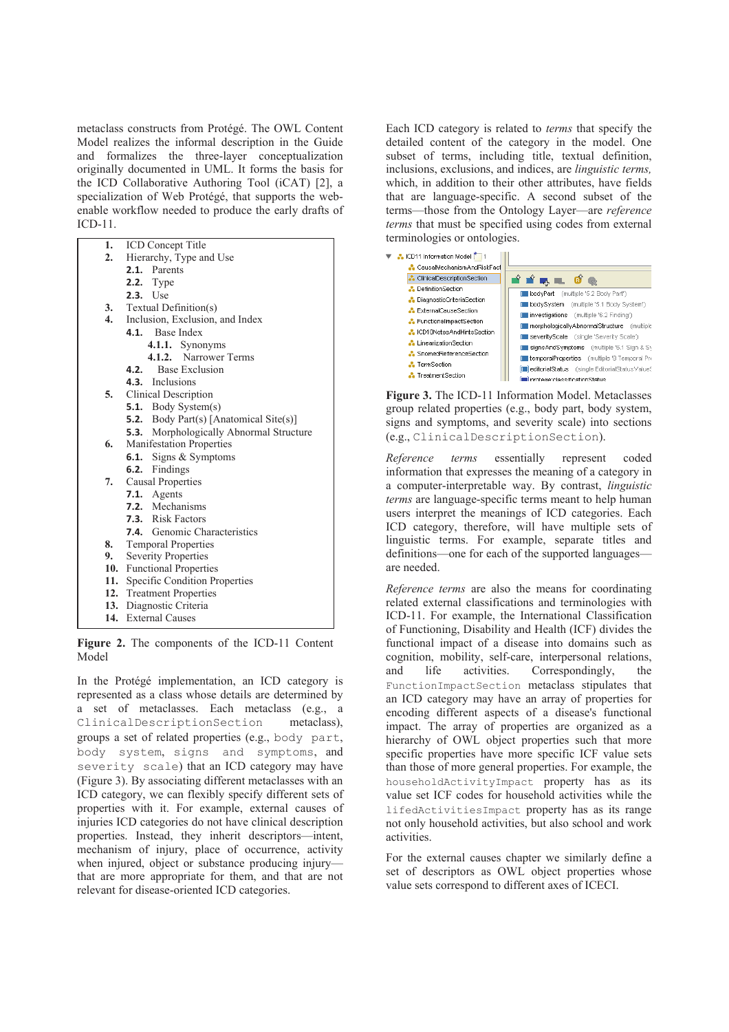metaclass constructs from Protégé. The OWL Content Model realizes the informal description in the Guide and formalizes the three-layer conceptualization originally documented in UML. It forms the basis for the ICD Collaborative Authoring Tool (iCAT) [2], a specialization of Web Protégé, that supports the webenable workflow needed to produce the early drafts of ICD-11.

| 1.  | <b>ICD</b> Concept Title                       |
|-----|------------------------------------------------|
| 2.  | Hierarchy, Type and Use                        |
|     | 2.1. Parents                                   |
|     | <b>2.2.</b> Type                               |
|     | <b>2.3.</b> Use                                |
| 3.  | Textual Definition(s)                          |
| 4.  | Inclusion, Exclusion, and Index                |
|     | 4.1. Base Index                                |
|     | 4.1.1. Synonyms                                |
|     | 4.1.2. Narrower Terms                          |
|     | <b>Base Exclusion</b><br>4.2.                  |
|     | 4.3. Inclusions                                |
| 5.  | <b>Clinical Description</b>                    |
|     | <b>5.1.</b> Body System(s)                     |
|     | <b>5.2.</b> Body Part(s) [Anatomical Site(s)]  |
|     | <b>5.3.</b> Morphologically Abnormal Structure |
| 6.  | <b>Manifestation Properties</b>                |
|     | Signs & Symptoms<br>6.1.                       |
|     | Findings<br>6.2.                               |
| 7.  | <b>Causal Properties</b>                       |
|     | 7.1. Agents                                    |
|     | <b>7.2.</b> Mechanisms                         |
|     | <b>7.3.</b> Risk Factors                       |
|     | <b>7.4.</b> Genomic Characteristics            |
| 8.  | <b>Temporal Properties</b>                     |
| 9.  | <b>Severity Properties</b>                     |
| 10. | <b>Functional Properties</b>                   |
| 11. | Specific Condition Properties                  |
|     | 12. Treatment Properties                       |
| 13. | Diagnostic Criteria                            |
| 14. | <b>External Causes</b>                         |

**Figure 2.** The components of the ICD-11 Content Model

In the Protégé implementation, an ICD category is represented as a class whose details are determined by a set of metaclasses. Each metaclass (e.g., a ClinicalDescriptionSection metaclass), groups a set of related properties (e.g., body part, body system, signs and symptoms, and severity scale) that an ICD category may have (Figure 3). By associating different metaclasses with an ICD category, we can flexibly specify different sets of properties with it. For example, external causes of injuries ICD categories do not have clinical description properties. Instead, they inherit descriptors—intent, mechanism of injury, place of occurrence, activity when injured, object or substance producing injury that are more appropriate for them, and that are not relevant for disease-oriented ICD categories.

Each ICD category is related to *terms* that specify the detailed content of the category in the model. One subset of terms, including title, textual definition, inclusions, exclusions, and indices, are *linguistic terms,* which, in addition to their other attributes, have fields that are language-specific. A second subset of the terms—those from the Ontology Layer—are *reference terms* that must be specified using codes from external terminologies or ontologies.



**Figure 3.** The ICD-11 Information Model. Metaclasses group related properties (e.g., body part, body system, signs and symptoms, and severity scale) into sections (e.g., ClinicalDescriptionSection).

*Reference terms* essentially represent coded information that expresses the meaning of a category in a computer-interpretable way. By contrast, *linguistic terms* are language-specific terms meant to help human users interpret the meanings of ICD categories. Each ICD category, therefore, will have multiple sets of linguistic terms. For example, separate titles and definitions—one for each of the supported languages are needed.

*Reference terms* are also the means for coordinating related external classifications and terminologies with ICD-11. For example, the International Classification of Functioning, Disability and Health (ICF) divides the functional impact of a disease into domains such as cognition, mobility, self-care, interpersonal relations, and life activities. Correspondingly, the FunctionImpactSection metaclass stipulates that an ICD category may have an array of properties for encoding different aspects of a disease's functional impact. The array of properties are organized as a hierarchy of OWL object properties such that more specific properties have more specific ICF value sets than those of more general properties. For example, the householdActivityImpact property has as its value set ICF codes for household activities while the lifedActivitiesImpact property has as its range not only household activities, but also school and work activities.

For the external causes chapter we similarly define a set of descriptors as OWL object properties whose value sets correspond to different axes of ICECI.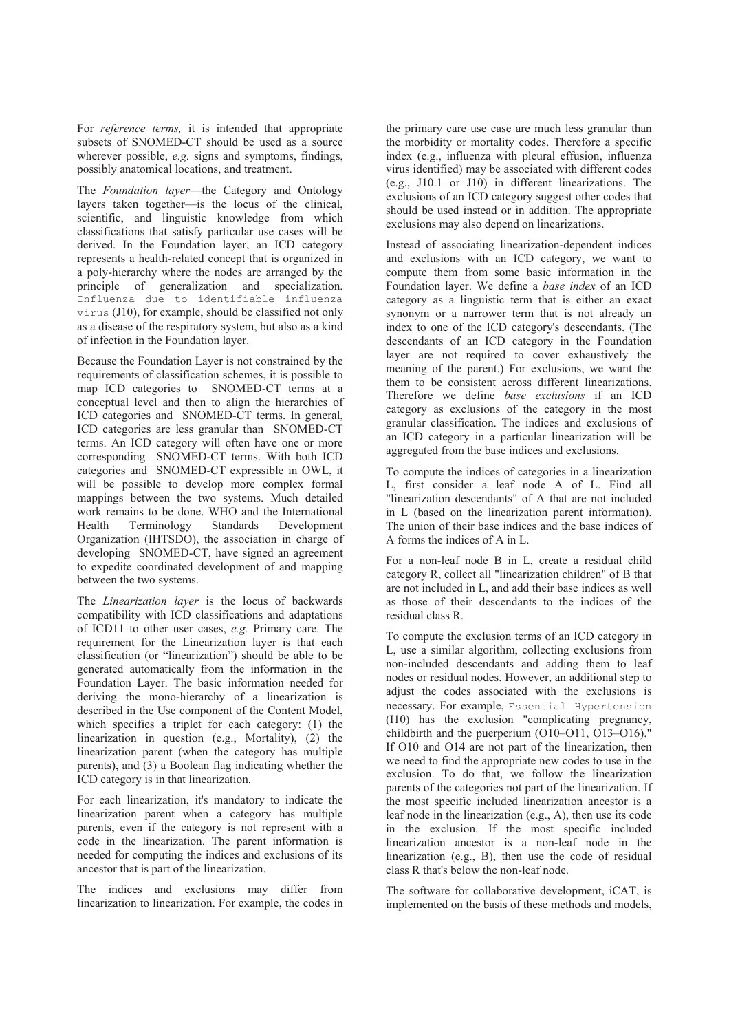For *reference terms,* it is intended that appropriate subsets of SNOMED-CT should be used as a source wherever possible, *e.g.* signs and symptoms, findings, possibly anatomical locations, and treatment.

The *Foundation layer*—the Category and Ontology layers taken together—is the locus of the clinical, scientific, and linguistic knowledge from which classifications that satisfy particular use cases will be derived. In the Foundation layer, an ICD category represents a health-related concept that is organized in a poly-hierarchy where the nodes are arranged by the principle of generalization and specialization. Influenza due to identifiable influenza virus (J10), for example, should be classified not only as a disease of the respiratory system, but also as a kind of infection in the Foundation layer.

Because the Foundation Layer is not constrained by the requirements of classification schemes, it is possible to map ICD categories to SNOMED-CT terms at a conceptual level and then to align the hierarchies of ICD categories and SNOMED-CT terms. In general, ICD categories are less granular than SNOMED-CT terms. An ICD category will often have one or more corresponding SNOMED-CT terms. With both ICD categories and SNOMED-CT expressible in OWL, it will be possible to develop more complex formal mappings between the two systems. Much detailed work remains to be done. WHO and the International Health Terminology Standards Development Organization (IHTSDO), the association in charge of developing SNOMED-CT, have signed an agreement to expedite coordinated development of and mapping between the two systems.

The *Linearization layer* is the locus of backwards compatibility with ICD classifications and adaptations of ICD11 to other user cases, *e.g.* Primary care. The requirement for the Linearization layer is that each classification (or "linearization") should be able to be generated automatically from the information in the Foundation Layer. The basic information needed for deriving the mono-hierarchy of a linearization is described in the Use component of the Content Model, which specifies a triplet for each category: (1) the linearization in question (e.g., Mortality), (2) the linearization parent (when the category has multiple parents), and (3) a Boolean flag indicating whether the ICD category is in that linearization.

For each linearization, it's mandatory to indicate the linearization parent when a category has multiple parents, even if the category is not represent with a code in the linearization. The parent information is needed for computing the indices and exclusions of its ancestor that is part of the linearization.

The indices and exclusions may differ from linearization to linearization. For example, the codes in the primary care use case are much less granular than the morbidity or mortality codes. Therefore a specific index (e.g., influenza with pleural effusion, influenza virus identified) may be associated with different codes (e.g., J10.1 or J10) in different linearizations. The exclusions of an ICD category suggest other codes that should be used instead or in addition. The appropriate exclusions may also depend on linearizations.

Instead of associating linearization-dependent indices and exclusions with an ICD category, we want to compute them from some basic information in the Foundation layer. We define a *base index* of an ICD category as a linguistic term that is either an exact synonym or a narrower term that is not already an index to one of the ICD category's descendants. (The descendants of an ICD category in the Foundation layer are not required to cover exhaustively the meaning of the parent.) For exclusions, we want the them to be consistent across different linearizations. Therefore we define *base exclusions* if an ICD category as exclusions of the category in the most granular classification. The indices and exclusions of an ICD category in a particular linearization will be aggregated from the base indices and exclusions.

To compute the indices of categories in a linearization L, first consider a leaf node A of L. Find all "linearization descendants" of A that are not included in L (based on the linearization parent information). The union of their base indices and the base indices of A forms the indices of A in L.

For a non-leaf node B in L, create a residual child category R, collect all "linearization children" of B that are not included in L, and add their base indices as well as those of their descendants to the indices of the residual class R.

To compute the exclusion terms of an ICD category in L, use a similar algorithm, collecting exclusions from non-included descendants and adding them to leaf nodes or residual nodes. However, an additional step to adjust the codes associated with the exclusions is necessary. For example, Essential Hypertension (I10) has the exclusion "complicating pregnancy, childbirth and the puerperium (O10–O11, O13–O16)." If O10 and O14 are not part of the linearization, then we need to find the appropriate new codes to use in the exclusion. To do that, we follow the linearization parents of the categories not part of the linearization. If the most specific included linearization ancestor is a leaf node in the linearization (e.g., A), then use its code in the exclusion. If the most specific included linearization ancestor is a non-leaf node in the linearization (e.g., B), then use the code of residual class R that's below the non-leaf node.

The software for collaborative development, iCAT, is implemented on the basis of these methods and models,